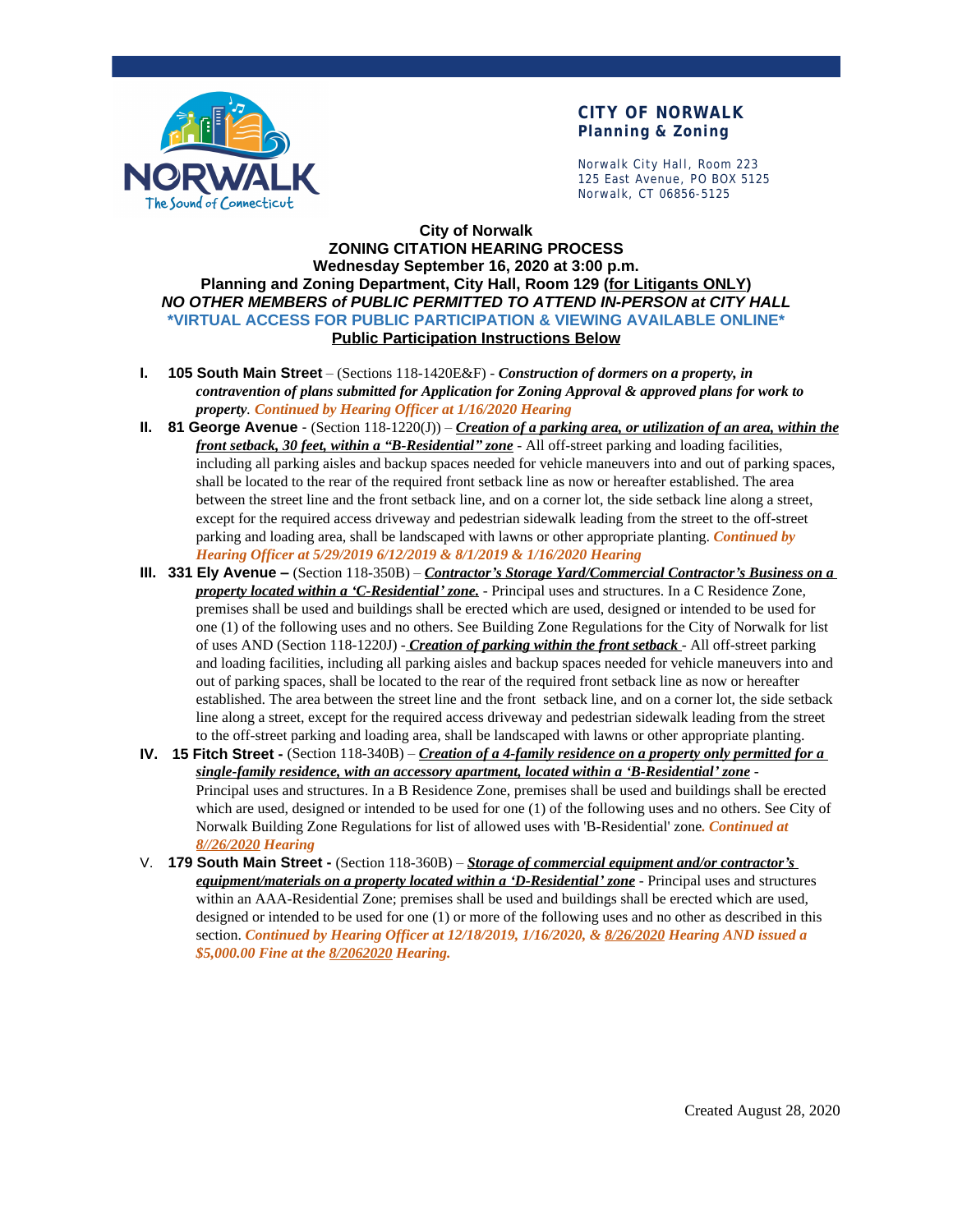

#### **CITY OF NORWALK Planning & Zoning**

Norwalk City Hall, Room 223 125 East Avenue, PO BOX 5125 Norwalk, CT 06856-5125

#### **City of Norwalk ZONING CITATION HEARING PROCESS Wednesday September 16, 2020 at 3:00 p.m. Planning and Zoning Department, City Hall, Room 129 (for Litigants ONLY)** *NO OTHER MEMBERS of PUBLIC PERMITTED TO ATTEND IN-PERSON at CITY HALL* **\*VIRTUAL ACCESS FOR PUBLIC PARTICIPATION & VIEWING AVAILABLE ONLINE\* Public Participation Instructions Below**

- **I. 105 South Main Street** (Sections 118-1420E&F) *Construction of dormers on a property, in contravention of plans submitted for Application for Zoning Approval & approved plans for work to property. Continued by Hearing Officer at 1/16/2020 Hearing*
- **II. 81 George Avenue**  (Section 118-1220(J)) *Creation of a parking area, or utilization of an area, within the front setback, 30 feet, within a "B-Residential" zone* - All off-street parking and loading facilities, including all parking aisles and backup spaces needed for vehicle maneuvers into and out of parking spaces, shall be located to the rear of the required front setback line as now or hereafter established. The area between the street line and the front setback line, and on a corner lot, the side setback line along a street, except for the required access driveway and pedestrian sidewalk leading from the street to the off-street parking and loading area, shall be landscaped with lawns or other appropriate planting. *Continued by Hearing Officer at 5/29/2019 6/12/2019 & 8/1/2019 & 1/16/2020 Hearing*
- **III. 331 Ely Avenue –** (Section 118-350B) *Contractor's Storage Yard/Commercial Contractor's Business on a property located within a 'C-Residential' zone.* - Principal uses and structures. In a C Residence Zone, premises shall be used and buildings shall be erected which are used, designed or intended to be used for one (1) of the following uses and no others. See Building Zone Regulations for the City of Norwalk for list of uses AND (Section 118-1220J) - *Creation of parking within the front setback* - All off-street parking and loading facilities, including all parking aisles and backup spaces needed for vehicle maneuvers into and out of parking spaces, shall be located to the rear of the required front setback line as now or hereafter established. The area between the street line and the front setback line, and on a corner lot, the side setback line along a street, except for the required access driveway and pedestrian sidewalk leading from the street to the off-street parking and loading area, shall be landscaped with lawns or other appropriate planting.
- **IV. 15 Fitch Street** (Section 118-340B) *Creation of a 4-family residence on a property only permitted for a single-family residence, with an accessory apartment, located within a 'B-Residential' zone* - Principal uses and structures. In a B Residence Zone, premises shall be used and buildings shall be erected which are used, designed or intended to be used for one (1) of the following uses and no others. See City of Norwalk Building Zone Regulations for list of allowed uses with 'B-Residential' zone*. Continued at 8//26/2020 Hearing*
- V. **179 South Main Street** (Section 118-360B) *Storage of commercial equipment and/or contractor's equipment/materials on a property located within a 'D-Residential' zone* - Principal uses and structures within an AAA-Residential Zone; premises shall be used and buildings shall be erected which are used, designed or intended to be used for one (1) or more of the following uses and no other as described in this section. *Continued by Hearing Officer at 12/18/2019, 1/16/2020, & 8/26/2020 Hearing AND issued a \$5,000.00 Fine at the 8/2062020 Hearing.*